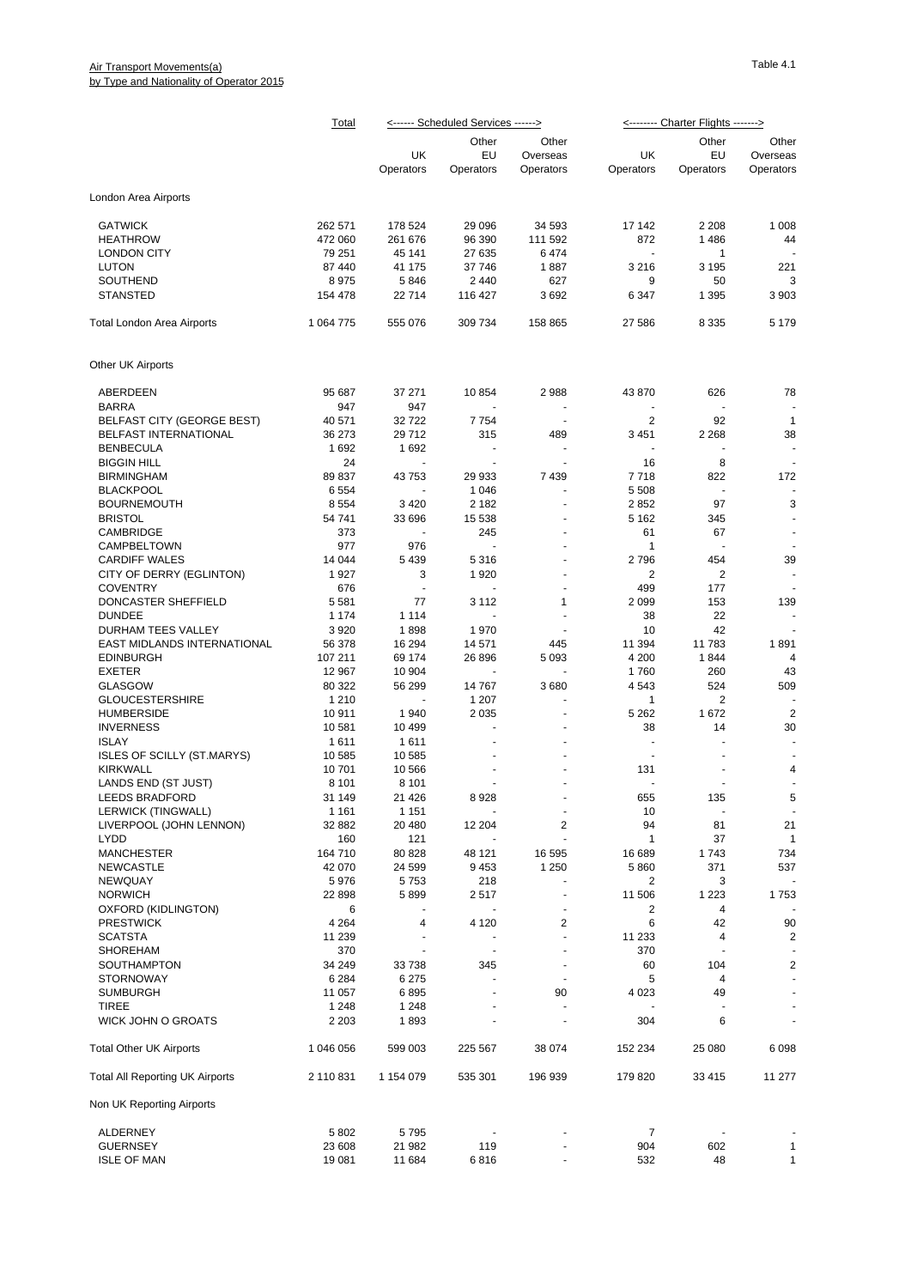## Air Transport Movements(a) by Type and Nationality of Operator 2015

|                                        | <b>Total</b> | <------ Scheduled Services ------> |                |                      | <u>&lt;------- Charter Flights -------&gt;</u> |                |                          |
|----------------------------------------|--------------|------------------------------------|----------------|----------------------|------------------------------------------------|----------------|--------------------------|
|                                        |              |                                    | Other          | Other                |                                                | Other          | Other                    |
|                                        |              | UK                                 | EU             | Overseas             | UK                                             | EU             | Overseas                 |
|                                        |              | Operators                          | Operators      | Operators            | Operators                                      | Operators      | Operators                |
| London Area Airports                   |              |                                    |                |                      |                                                |                |                          |
| <b>GATWICK</b>                         | 262 571      | 178 524                            | 29 0 96        | 34 593               | 17 142                                         | 2 2 0 8        | 1 0 0 8                  |
| <b>HEATHROW</b>                        | 472 060      | 261 676                            | 96 390         | 111 592              | 872                                            | 1486           | 44                       |
| LONDON CITY                            | 79 251       | 45 141                             | 27 635         | 6474                 | $\blacksquare$                                 | 1              |                          |
| <b>LUTON</b>                           | 87 440       | 41 175                             | 37 746         | 1887                 | 3 2 1 6                                        | 3 1 9 5        | 221                      |
| SOUTHEND                               | 8975         | 5846                               | 2 4 4 0        | 627                  | 9                                              | 50             | 3                        |
| <b>STANSTED</b>                        | 154 478      | 22714                              | 116 427        | 3692                 | 6 3 4 7                                        | 1 3 9 5        | 3 9 0 3                  |
| Total London Area Airports             | 1 0 64 7 7 5 | 555 076                            | 309 734        | 158 865              | 27 586                                         | 8 3 3 5        | 5 1 7 9                  |
| Other UK Airports                      |              |                                    |                |                      |                                                |                |                          |
|                                        |              |                                    |                |                      |                                                |                |                          |
| ABERDEEN                               | 95 687       | 37 271                             | 10854          | 2988                 | 43 870                                         | 626            | 78                       |
| <b>BARRA</b>                           | 947          | 947                                |                |                      |                                                |                |                          |
| BELFAST CITY (GEORGE BEST)             | 40 571       | 32722                              | 7754           | $\sim$               | $\overline{2}$                                 | 92             | $\mathbf{1}$             |
| <b>BELFAST INTERNATIONAL</b>           | 36 273       | 29712                              | 315            | 489                  | 3 4 5 1                                        | 2 2 6 8        | 38                       |
| <b>BENBECULA</b>                       | 1692         | 1692                               |                |                      |                                                |                |                          |
| <b>BIGGIN HILL</b>                     | 24           |                                    |                |                      | 16                                             | 8              |                          |
| <b>BIRMINGHAM</b>                      | 89 837       | 43753                              | 29 933         | 7439                 | 7718                                           | 822            | 172                      |
| <b>BLACKPOOL</b>                       | 6554         |                                    | 1 0 4 6        |                      | 5 5 0 8                                        |                |                          |
| <b>BOURNEMOUTH</b>                     | 8554         | 3 4 2 0                            | 2 1 8 2        |                      | 2852                                           | 97             | 3                        |
| <b>BRISTOL</b>                         | 54 741       | 33 696                             | 15 5 38        |                      | 5 1 6 2                                        | 345            |                          |
| CAMBRIDGE                              | 373          |                                    | 245            |                      | 61                                             | 67             |                          |
| CAMPBELTOWN                            | 977          | 976                                |                |                      | $\mathbf{1}$                                   |                |                          |
| <b>CARDIFF WALES</b>                   | 14 044       | 5 4 3 9                            | 5316           |                      | 2796                                           | 454            | 39                       |
| CITY OF DERRY (EGLINTON)               | 1927         | 3                                  | 1920           |                      | 2                                              | 2              |                          |
| <b>COVENTRY</b>                        | 676          | ÷,                                 |                | $\ddot{\phantom{1}}$ | 499                                            | 177            |                          |
| DONCASTER SHEFFIELD                    | 5581         | 77                                 | 3 1 1 2        | 1                    | 2 0 9 9                                        | 153            | 139                      |
| <b>DUNDEE</b>                          | 1 1 7 4      | 1 1 1 4                            |                |                      | 38                                             | 22             |                          |
| DURHAM TEES VALLEY                     | 3920         | 1898                               | 1970           |                      | 10                                             | 42             |                          |
| EAST MIDLANDS INTERNATIONAL            | 56 378       | 16 294                             | 14 571         | 445                  | 11 394                                         | 11 783         | 1891                     |
| <b>EDINBURGH</b>                       | 107 211      | 69 174                             | 26 896         | 5 0 9 3              | 4 200                                          | 1844           | 4                        |
| <b>EXETER</b>                          | 12 967       | 10 904                             |                |                      | 1760                                           | 260            | 43                       |
| <b>GLASGOW</b>                         | 80 322       | 56 299                             | 14767          | 3680                 | 4 5 4 3                                        | 524            | 509                      |
| <b>GLOUCESTERSHIRE</b>                 | 1 2 1 0      |                                    | 1 207          |                      | 1                                              | 2              |                          |
| <b>HUMBERSIDE</b>                      | 10911        | 1940                               | 2 0 3 5        |                      | 5 2 6 2                                        | 1672           | $\overline{2}$           |
| <b>INVERNESS</b>                       | 10581        | 10 499                             | $\overline{a}$ |                      | 38                                             | 14             | 30                       |
| <b>ISLAY</b>                           | 1611         | 1611                               |                |                      | $\ddot{\phantom{1}}$                           | $\overline{a}$ | $\blacksquare$           |
| <b>ISLES OF SCILLY (ST.MARYS)</b>      | 10 585       | 10 585                             |                |                      | $\blacksquare$                                 |                | $\blacksquare$           |
| <b>KIRKWALL</b>                        | 10701        | 10 566                             |                |                      | 131                                            |                | 4                        |
| LANDS END (ST JUST)                    | 8 1 0 1      | 8 1 0 1                            |                |                      |                                                |                |                          |
| <b>LEEDS BRADFORD</b>                  | 31 149       | 21 4 26                            | 8928           |                      | 655                                            | 135            | 5                        |
| LERWICK (TINGWALL)                     | 1 1 6 1      | 1 1 5 1                            |                | $\blacksquare$       | 10                                             | $\blacksquare$ | $\overline{\phantom{a}}$ |
| LIVERPOOL (JOHN LENNON)                | 32 882       | 20 480                             | 12 204         | 2                    | 94                                             | 81             | 21                       |
| LYDD                                   | 160          | 121                                |                |                      | 1                                              | 37             | 1                        |
| <b>MANCHESTER</b>                      | 164 710      | 80 828                             | 48 121         | 16 595               | 16 689                                         | 1743           | 734                      |
| <b>NEWCASTLE</b>                       | 42 070       | 24 599                             | 9453           | 1 2 5 0              | 5860                                           | 371            | 537                      |
| NEWQUAY                                | 5976         | 5753                               | 218            |                      | 2                                              | 3              |                          |
| <b>NORWICH</b>                         | 22 898       | 5899                               | 2517           | ä,                   | 11 506                                         | 1 2 2 3        | 1753                     |
| OXFORD (KIDLINGTON)                    | 6            |                                    |                |                      | 2                                              | 4              |                          |
| <b>PRESTWICK</b>                       | 4 2 6 4      | 4                                  | 4 1 2 0        | 2                    | 6                                              | 42             | 90                       |
| <b>SCATSTA</b>                         | 11 239       | $\ddot{\phantom{1}}$               |                | ÷                    | 11 233                                         | 4              | 2                        |
| <b>SHOREHAM</b>                        | 370          |                                    |                |                      | 370                                            |                |                          |
| <b>SOUTHAMPTON</b>                     | 34 249       | 33738                              | 345            |                      | 60                                             | 104            | 2                        |
| <b>STORNOWAY</b>                       | 6 2 8 4      | 6 2 7 5                            |                |                      | 5                                              | 4              | $\blacksquare$           |
| <b>SUMBURGH</b>                        | 11 057       | 6895                               |                | 90                   | 4 0 23                                         | 49             |                          |
| <b>TIREE</b>                           | 1 2 4 8      | 1 2 4 8                            |                |                      |                                                |                |                          |
| <b>WICK JOHN O GROATS</b>              | 2 2 0 3      | 1893                               |                | ä,                   | 304                                            | 6              |                          |
| <b>Total Other UK Airports</b>         | 1 046 056    | 599 003                            | 225 567        | 38 074               | 152 234                                        | 25 080         | 6098                     |
| <b>Total All Reporting UK Airports</b> | 2 110 831    | 1 154 079                          | 535 301        | 196 939              | 179 820                                        | 33 4 15        | 11 277                   |
| Non UK Reporting Airports              |              |                                    |                |                      |                                                |                |                          |
|                                        |              |                                    |                |                      |                                                |                |                          |
| ALDERNEY                               | 5802         | 5795                               |                |                      | $\overline{7}$                                 |                |                          |
| <b>GUERNSEY</b>                        | 23 608       | 21 982                             | 119            |                      | 904                                            | 602            | $\mathbf{1}$             |
| <b>ISLE OF MAN</b>                     | 19 081       | 11 684                             | 6816           |                      | 532                                            | 48             | 1                        |